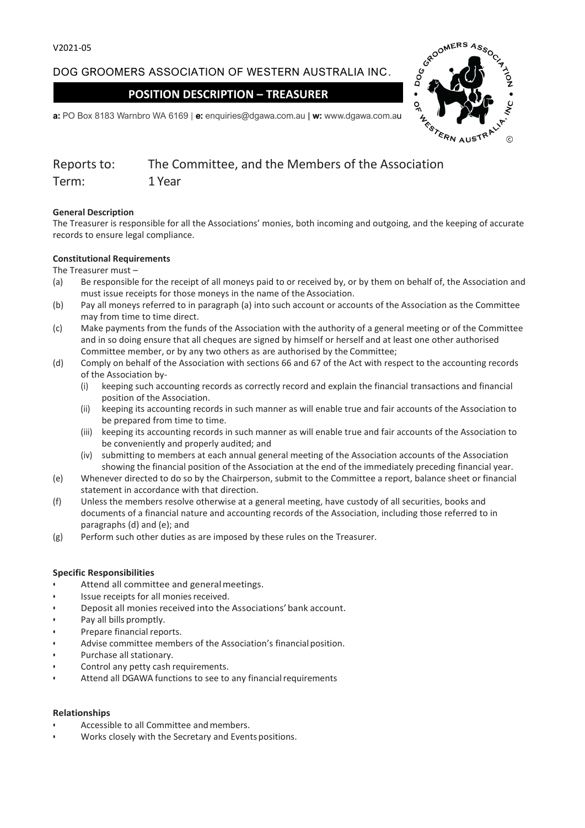DOG GROOMERS ASSOCIATION OF WESTERN AUSTRALIA INC.

**POSITION DESCRIPTION – TREASURER**



**a:** PO Box 8183 Warnbro WA 6169 | **e:** enquiries@dgawa.com.au | **w:** www.dgawa.com.au

| Reports to: | The Committee, and the Members of the Association |
|-------------|---------------------------------------------------|
| Term:       | 1 Year                                            |

# **General Description**

The Treasurer is responsible for all the Associations' monies, both incoming and outgoing, and the keeping of accurate records to ensure legal compliance.

## **Constitutional Requirements**

## The Treasurer must –

- (a) Be responsible for the receipt of all moneys paid to or received by, or by them on behalf of, the Association and must issue receipts for those moneys in the name of the Association.
- (b) Pay all moneys referred to in paragraph (a) into such account or accounts of the Association as the Committee may from time to time direct.
- (c) Make payments from the funds of the Association with the authority of a general meeting or of the Committee and in so doing ensure that all cheques are signed by himself or herself and at least one other authorised Committee member, or by any two others as are authorised by the Committee;
- (d) Comply on behalf of the Association with sections 66 and 67 of the Act with respect to the accounting records of the Association by-
	- (i) keeping such accounting records as correctly record and explain the financial transactions and financial position of the Association.
	- (ii) keeping its accounting records in such manner as will enable true and fair accounts of the Association to be prepared from time to time.
	- (iii) keeping its accounting records in such manner as will enable true and fair accounts of the Association to be conveniently and properly audited; and
	- (iv) submitting to members at each annual general meeting of the Association accounts of the Association showing the financial position of the Association at the end of the immediately preceding financial year.
- (e) Whenever directed to do so by the Chairperson, submit to the Committee a report, balance sheet or financial statement in accordance with that direction.
- (f) Unless the members resolve otherwise at a general meeting, have custody of all securities, books and documents of a financial nature and accounting records of the Association, including those referred to in paragraphs (d) and (e); and
- (g) Perform such other duties as are imposed by these rules on the Treasurer.

#### **Specific Responsibilities**

- Attend all committee and general meetings.
- Issue receipts for all monies received.
- Deposit all monies received into the Associations'bank account.
- Pay all bills promptly.
- Prepare financial reports.
- Advise committee members of the Association's financial position.
- Purchase all stationary.
- Control any petty cash requirements.
- Attend all DGAWA functions to see to any financial requirements

#### **Relationships**

- Accessible to all Committee and members.
- Works closely with the Secretary and Events positions.